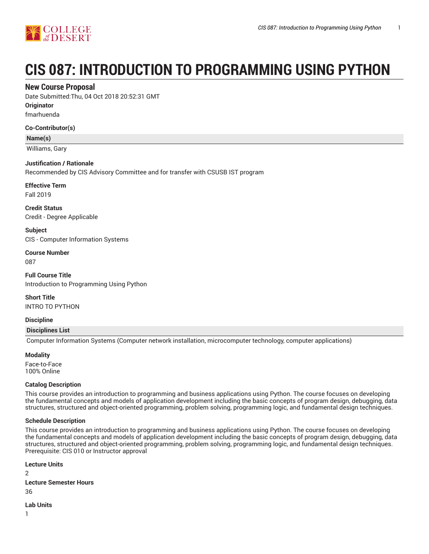

# **CIS 087: INTRODUCTION TO PROGRAMMING USING PYTHON**

# **New Course Proposal**

Date Submitted:Thu, 04 Oct 2018 20:52:31 GMT

**Originator**

fmarhuenda

## **Co-Contributor(s)**

**Name(s)**

Williams, Gary

## **Justification / Rationale**

Recommended by CIS Advisory Committee and for transfer with CSUSB IST program

**Effective Term**

Fall 2019

**Credit Status** Credit - Degree Applicable

**Subject** CIS - Computer Information Systems

**Course Number** 087

**Full Course Title** Introduction to Programming Using Python

**Short Title** INTRO TO PYTHON

**Discipline**

## **Disciplines List**

Computer Information Systems (Computer network installation, microcomputer technology, computer applications)

## **Modality**

Face-to-Face 100% Online

## **Catalog Description**

This course provides an introduction to programming and business applications using Python. The course focuses on developing the fundamental concepts and models of application development including the basic concepts of program design, debugging, data structures, structured and object-oriented programming, problem solving, programming logic, and fundamental design techniques.

## **Schedule Description**

This course provides an introduction to programming and business applications using Python. The course focuses on developing the fundamental concepts and models of application development including the basic concepts of program design, debugging, data structures, structured and object-oriented programming, problem solving, programming logic, and fundamental design techniques. Prerequisite: CIS 010 or Instructor approval

**Lecture Units**  $\mathfrak{D}$ **Lecture Semester Hours** 36

**Lab Units**

1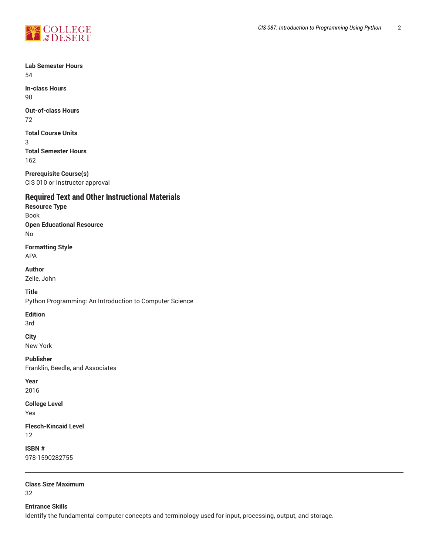

**Lab Semester Hours** 54

**In-class Hours** 90

**Out-of-class Hours**

72

**Total Course Units**

3 **Total Semester Hours** 162

**Prerequisite Course(s)** CIS 010 or Instructor approval

# **Required Text and Other Instructional Materials**

**Resource Type** Book **Open Educational Resource** No

**Formatting Style**

APA

**Author** Zelle, John

**Title**

Python Programming: An Introduction to Computer Science

## **Edition**

3rd

**City** New York

**Publisher** Franklin, Beedle, and Associates

**Year** 2016

**College Level** Yes

**Flesch-Kincaid Level** 12

**ISBN #** 978-1590282755

**Class Size Maximum** 32

**Entrance Skills**

Identify the fundamental computer concepts and terminology used for input, processing, output, and storage.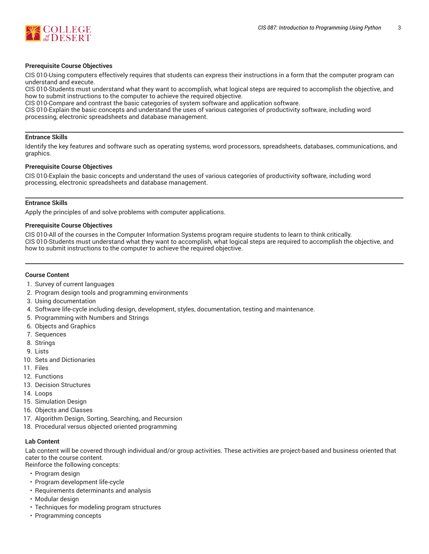

#### **Prerequisite Course Objectives**

CIS 010-Using computers effectively requires that students can express their instructions in a form that the computer program can understand and execute.

CIS 010-Students must understand what they want to accomplish, what logical steps are required to accomplish the objective, and how to submit instructions to the computer to achieve the required objective.

CIS 010-Compare and contrast the basic categories of system software and application software.

CIS 010-Explain the basic concepts and understand the uses of various categories of productivity software, including word processing, electronic spreadsheets and database management.

#### **Entrance Skills**

Identify the key features and software such as operating systems, word processors, spreadsheets, databases, communications, and graphics.

#### **Prerequisite Course Objectives**

CIS 010-Explain the basic concepts and understand the uses of various categories of productivity software, including word processing, electronic spreadsheets and database management.

#### **Entrance Skills**

Apply the principles of and solve problems with computer applications.

#### **Prerequisite Course Objectives**

CIS 010-All of the courses in the Computer Information Systems program require students to learn to think critically. CIS 010-Students must understand what they want to accomplish, what logical steps are required to accomplish the objective, and how to submit instructions to the computer to achieve the required objective.

### **Course Content**

- 1. Survey of current languages
- 2. Program design tools and programming environments
- 3. Using documentation
- 4. Software life-cycle including design, development, styles, documentation, testing and maintenance.
- 5. Programming with Numbers and Strings
- 6. Objects and Graphics
- 7. Sequences
- 8. Strings
- 9. Lists
- 10. Sets and Dictionaries
- 11. Files
- 12. Functions
- 13. Decision Structures
- 14. Loops
- 15. Simulation Design
- 16. Objects and Classes
- 17. Algorithm Design, Sorting, Searching, and Recursion
- 18. Procedural versus objected oriented programming

### **Lab Content**

Lab content will be covered through individual and/or group activities. These activities are project-based and business oriented that cater to the course content.

- Reinforce the following concepts:
- Program design
- Program development life-cycle
- Requirements determinants and analysis
- Modular design
- Techniques for modeling program structures
- Programming concepts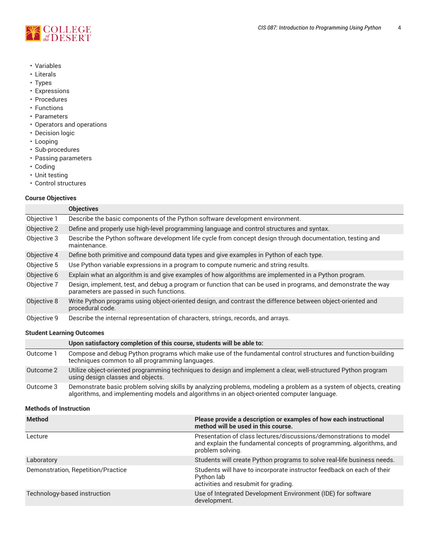

- Variables
- Literals
- Types
- Expressions
- Procedures
- Functions
- Parameters
- Operators and operations
- Decision logic
- Looping
- Sub-procedures
- Passing parameters
- Coding
- Unit testing
- Control structures

## **Course Objectives**

|             | <b>Objectives</b>                                                                                                                                          |
|-------------|------------------------------------------------------------------------------------------------------------------------------------------------------------|
| Objective 1 | Describe the basic components of the Python software development environment.                                                                              |
| Objective 2 | Define and properly use high-level programming language and control structures and syntax.                                                                 |
| Objective 3 | Describe the Python software development life cycle from concept design through documentation, testing and<br>maintenance.                                 |
| Objective 4 | Define both primitive and compound data types and give examples in Python of each type.                                                                    |
| Objective 5 | Use Python variable expressions in a program to compute numeric and string results.                                                                        |
| Objective 6 | Explain what an algorithm is and give examples of how algorithms are implemented in a Python program.                                                      |
| Objective 7 | Design, implement, test, and debug a program or function that can be used in programs, and demonstrate the way<br>parameters are passed in such functions. |
| Objective 8 | Write Python programs using object-oriented design, and contrast the difference between object-oriented and<br>procedural code.                            |
| Objective 9 | Describe the internal representation of characters, strings, records, and arrays.                                                                          |

## **Student Learning Outcomes**

|           | Upon satisfactory completion of this course, students will be able to:                                                                                                                                             |
|-----------|--------------------------------------------------------------------------------------------------------------------------------------------------------------------------------------------------------------------|
| Outcome 1 | Compose and debug Python programs which make use of the fundamental control structures and function-building<br>techniques common to all programming languages.                                                    |
| Outcome 2 | Utilize object-oriented programming techniques to design and implement a clear, well-structured Python program<br>using design classes and objects.                                                                |
| Outcome 3 | Demonstrate basic problem solving skills by analyzing problems, modeling a problem as a system of objects, creating<br>algorithms, and implementing models and algorithms in an object-oriented computer language. |

## **Methods of Instruction**

| <b>Method</b>                      | Please provide a description or examples of how each instructional<br>method will be used in this course.                                                      |
|------------------------------------|----------------------------------------------------------------------------------------------------------------------------------------------------------------|
| Lecture                            | Presentation of class lectures/discussions/demonstrations to model<br>and explain the fundamental concepts of programming, algorithms, and<br>problem solving. |
| Laboratory                         | Students will create Python programs to solve real-life business needs.                                                                                        |
| Demonstration, Repetition/Practice | Students will have to incorporate instructor feedback on each of their<br>Python lab<br>activities and resubmit for grading.                                   |
| Technology-based instruction       | Use of Integrated Development Environment (IDE) for software<br>development.                                                                                   |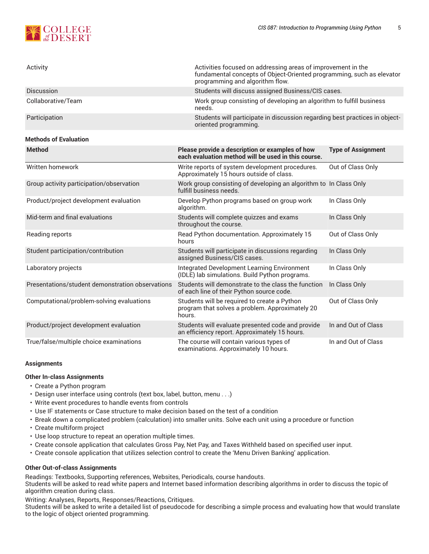

| Activity           | Activities focused on addressing areas of improvement in the<br>fundamental concepts of Object-Oriented programming, such as elevator<br>programming and algorithm flow. |
|--------------------|--------------------------------------------------------------------------------------------------------------------------------------------------------------------------|
| <b>Discussion</b>  | Students will discuss assigned Business/CIS cases.                                                                                                                       |
| Collaborative/Team | Work group consisting of developing an algorithm to fulfill business<br>needs.                                                                                           |
| Participation      | Students will participate in discussion regarding best practices in object-<br>oriented programming.                                                                     |

## **Methods of Evaluation**

| <b>Method</b>                                    | Please provide a description or examples of how<br>each evaluation method will be used in this course.    | <b>Type of Assignment</b> |
|--------------------------------------------------|-----------------------------------------------------------------------------------------------------------|---------------------------|
| Written homework                                 | Write reports of system development procedures.<br>Approximately 15 hours outside of class.               | Out of Class Only         |
| Group activity participation/observation         | Work group consisting of developing an algorithm to In Class Only<br>fulfill business needs.              |                           |
| Product/project development evaluation           | Develop Python programs based on group work<br>algorithm.                                                 | In Class Only             |
| Mid-term and final evaluations                   | Students will complete quizzes and exams<br>throughout the course.                                        | In Class Only             |
| Reading reports                                  | Read Python documentation. Approximately 15<br>hours                                                      | Out of Class Only         |
| Student participation/contribution               | Students will participate in discussions regarding<br>assigned Business/CIS cases.                        | In Class Only             |
| Laboratory projects                              | <b>Integrated Development Learning Environment</b><br>(IDLE) lab simulations. Build Python programs.      | In Class Only             |
| Presentations/student demonstration observations | Students will demonstrate to the class the function<br>of each line of their Python source code.          | In Class Only             |
| Computational/problem-solving evaluations        | Students will be required to create a Python<br>program that solves a problem. Approximately 20<br>hours. | Out of Class Only         |
| Product/project development evaluation           | Students will evaluate presented code and provide<br>an efficiency report. Approximately 15 hours.        | In and Out of Class       |
| True/false/multiple choice examinations          | The course will contain various types of<br>examinations. Approximately 10 hours.                         | In and Out of Class       |

## **Assignments**

## **Other In-class Assignments**

- Create a Python program
- Design user interface using controls (text box, label, button, menu . . .)
- Write event procedures to handle events from controls
- Use IF statements or Case structure to make decision based on the test of a condition
- Break down a complicated problem (calculation) into smaller units. Solve each unit using a procedure or function
- Create multiform project
- Use loop structure to repeat an operation multiple times.
- Create console application that calculates Gross Pay, Net Pay, and Taxes Withheld based on specified user input.
- Create console application that utilizes selection control to create the 'Menu Driven Banking' application.

## **Other Out-of-class Assignments**

Readings: Textbooks, Supporting references, Websites, Periodicals, course handouts.

Students will be asked to read white papers and Internet based information describing algorithms in order to discuss the topic of algorithm creation during class.

Writing: Analyses, Reports, Responses/Reactions, Critiques.

Students will be asked to write a detailed list of pseudocode for describing a simple process and evaluating how that would translate to the logic of object oriented programming.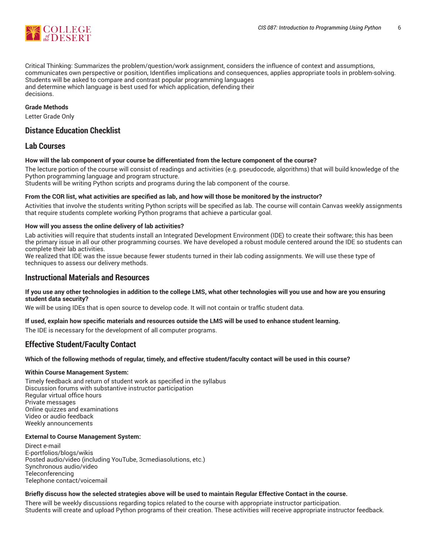

Critical Thinking: Summarizes the problem/question/work assignment, considers the influence of context and assumptions, communicates own perspective or position, Identifies implications and consequences, applies appropriate tools in problem-solving. Students will be asked to compare and contrast popular programming languages and determine which language is best used for which application, defending their decisions.

## **Grade Methods**

Letter Grade Only

# **Distance Education Checklist**

# **Lab Courses**

## **How will the lab component of your course be differentiated from the lecture component of the course?**

The lecture portion of the course will consist of readings and activities (e.g. pseudocode, algorithms) that will build knowledge of the Python programming language and program structure.

Students will be writing Python scripts and programs during the lab component of the course.

## From the COR list, what activities are specified as lab, and how will those be monitored by the instructor?

Activities that involve the students writing Python scripts will be specified as lab. The course will contain Canvas weekly assignments that require students complete working Python programs that achieve a particular goal.

## **How will you assess the online delivery of lab activities?**

Lab activities will require that students install an Integrated Development Environment (IDE) to create their software; this has been the primary issue in all our other programming courses. We have developed a robust module centered around the IDE so students can complete their lab activities.

We realized that IDE was the issue because fewer students turned in their lab coding assignments. We will use these type of techniques to assess our delivery methods.

## **Instructional Materials and Resources**

## If you use any other technologies in addition to the college LMS, what other technologies will you use and how are you ensuring **student data security?**

We will be using IDEs that is open source to develop code. It will not contain or traffic student data.

## **If used, explain how specific materials and resources outside the LMS will be used to enhance student learning.**

The IDE is necessary for the development of all computer programs.

# **Effective Student/Faculty Contact**

## Which of the following methods of regular, timely, and effective student/faculty contact will be used in this course?

## **Within Course Management System:**

Timely feedback and return of student work as specified in the syllabus Discussion forums with substantive instructor participation Regular virtual office hours Private messages Online quizzes and examinations Video or audio feedback Weekly announcements

## **External to Course Management System:**

Direct e-mail E-portfolios/blogs/wikis Posted audio/video (including YouTube, 3cmediasolutions, etc.) Synchronous audio/video **Teleconferencing** Telephone contact/voicemail

## Briefly discuss how the selected strategies above will be used to maintain Regular Effective Contact in the course.

There will be weekly discussions regarding topics related to the course with appropriate instructor participation. Students will create and upload Python programs of their creation. These activities will receive appropriate instructor feedback.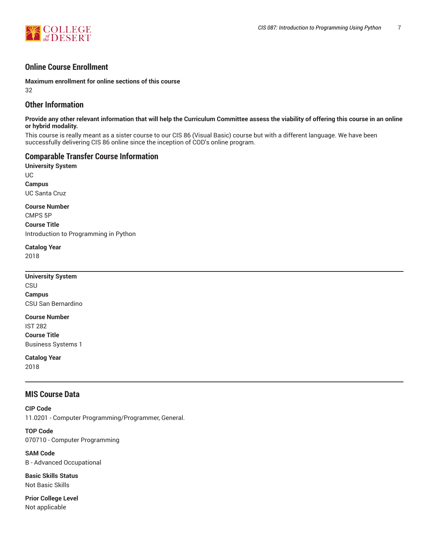

# **Online Course Enrollment**

**Maximum enrollment for online sections of this course** 32

# **Other Information**

**Provide any other relevant information that will help the Curriculum Committee assess the viability of offering this course in an online or hybrid modality.**

This course is really meant as a sister course to our CIS 86 (Visual Basic) course but with a different language. We have been successfully delivering CIS 86 online since the inception of COD's online program.

# **Comparable Transfer Course Information**

**University System** UC **Campus** UC Santa Cruz

**Course Number** CMPS 5P

**Course Title** Introduction to Programming in Python

**Catalog Year**

2018

**University System** CSU **Campus** CSU San Bernardino

**Course Number** IST 282 **Course Title** Business Systems 1

**Catalog Year** 2018

# **MIS Course Data**

**CIP Code** 11.0201 - Computer Programming/Programmer, General.

**TOP Code** 070710 - Computer Programming

**SAM Code** B - Advanced Occupational

**Basic Skills Status** Not Basic Skills

**Prior College Level** Not applicable